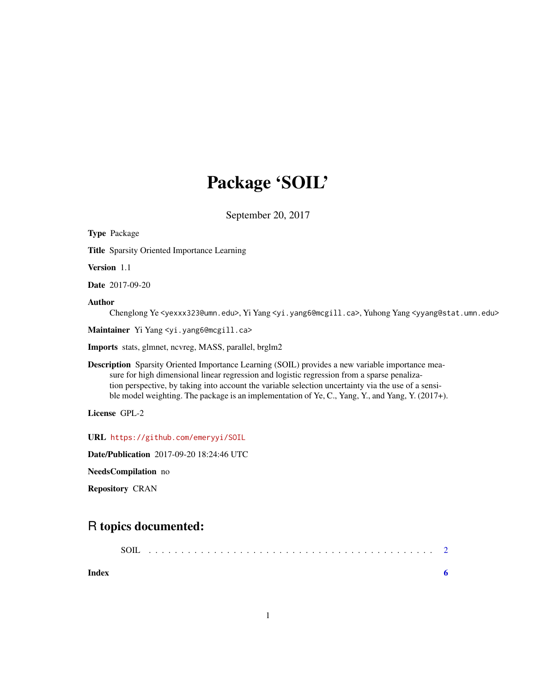## Package 'SOIL'

September 20, 2017

Type Package Title Sparsity Oriented Importance Learning Version 1.1 Date 2017-09-20 Author Chenglong Ye <yexxx323@umn.edu>, Yi Yang <yi.yang6@mcgill.ca>, Yuhong Yang <yyang@stat.umn.edu> Maintainer Yi Yang <yi.yang6@mcgill.ca> Imports stats, glmnet, ncvreg, MASS, parallel, brglm2 Description Sparsity Oriented Importance Learning (SOIL) provides a new variable importance measure for high dimensional linear regression and logistic regression from a sparse penalization perspective, by taking into account the variable selection uncertainty via the use of a sensible model weighting. The package is an implementation of Ye, C., Yang, Y., and Yang, Y. (2017+). License GPL-2 URL <https://github.com/emeryyi/SOIL> Date/Publication 2017-09-20 18:24:46 UTC NeedsCompilation no Repository CRAN

### R topics documented:

| Index |  |  |  |  |  |  |  |  |  |  |  |  |  |  |  |  |  |  |  |  |
|-------|--|--|--|--|--|--|--|--|--|--|--|--|--|--|--|--|--|--|--|--|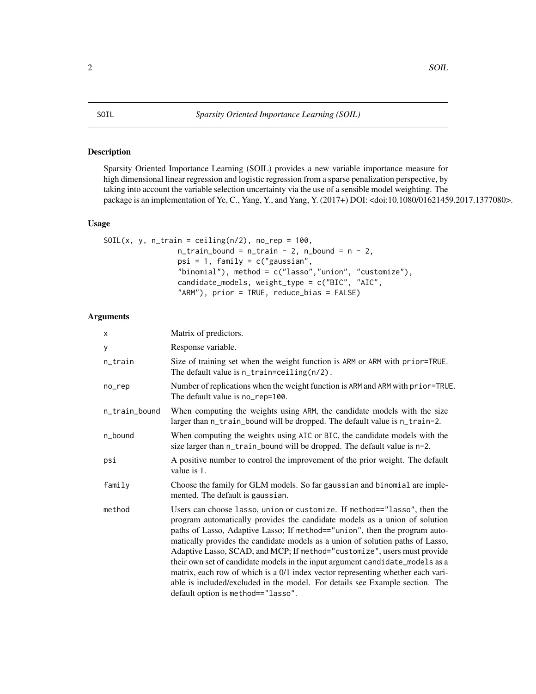#### <span id="page-1-0"></span>Description

Sparsity Oriented Importance Learning (SOIL) provides a new variable importance measure for high dimensional linear regression and logistic regression from a sparse penalization perspective, by taking into account the variable selection uncertainty via the use of a sensible model weighting. The package is an implementation of Ye, C., Yang, Y., and Yang, Y. (2017+) DOI: <doi:10.1080/01621459.2017.1377080>.

#### Usage

```
SOIL(x, y, n_train = ceiling(n/2), no_rep = 100,n_{\text{train}}bound = n_{\text{train}} - 2, n_{\text{bound}} = n - 2,
                  psi = 1, family = c("gaussian","binomial"), method = c("lasso","union", "customize"),
                  candidate_models, weight_type = c("BIC", "AIC",
                  "ARM"), prior = TRUE, reduce_bias = FALSE)
```
#### Arguments

| X             | Matrix of predictors.                                                                                                                                                                                                                                                                                                                                                                                                                                                                                                                                                                                                                                                                        |
|---------------|----------------------------------------------------------------------------------------------------------------------------------------------------------------------------------------------------------------------------------------------------------------------------------------------------------------------------------------------------------------------------------------------------------------------------------------------------------------------------------------------------------------------------------------------------------------------------------------------------------------------------------------------------------------------------------------------|
| У             | Response variable.                                                                                                                                                                                                                                                                                                                                                                                                                                                                                                                                                                                                                                                                           |
| n_train       | Size of training set when the weight function is ARM or ARM with prior=TRUE.<br>The default value is $n$ _train=ceiling( $n/2$ ).                                                                                                                                                                                                                                                                                                                                                                                                                                                                                                                                                            |
| no_rep        | Number of replications when the weight function is ARM and ARM with prior=TRUE.<br>The default value is no_rep=100.                                                                                                                                                                                                                                                                                                                                                                                                                                                                                                                                                                          |
| n_train_bound | When computing the weights using ARM, the candidate models with the size<br>larger than n_train_bound will be dropped. The default value is n_train-2.                                                                                                                                                                                                                                                                                                                                                                                                                                                                                                                                       |
| n_bound       | When computing the weights using AIC or BIC, the candidate models with the<br>size larger than n_train_bound will be dropped. The default value is n-2.                                                                                                                                                                                                                                                                                                                                                                                                                                                                                                                                      |
| psi           | A positive number to control the improvement of the prior weight. The default<br>value is 1.                                                                                                                                                                                                                                                                                                                                                                                                                                                                                                                                                                                                 |
| family        | Choose the family for GLM models. So far gaussian and binomial are imple-<br>mented. The default is gaussian.                                                                                                                                                                                                                                                                                                                                                                                                                                                                                                                                                                                |
| method        | Users can choose lasso, union or customize. If method=="lasso", then the<br>program automatically provides the candidate models as a union of solution<br>paths of Lasso, Adaptive Lasso; If method=="union", then the program auto-<br>matically provides the candidate models as a union of solution paths of Lasso,<br>Adaptive Lasso, SCAD, and MCP; If method="customize", users must provide<br>their own set of candidate models in the input argument candidate_models as a<br>matrix, each row of which is a 0/1 index vector representing whether each vari-<br>able is included/excluded in the model. For details see Example section. The<br>default option is method=="lasso". |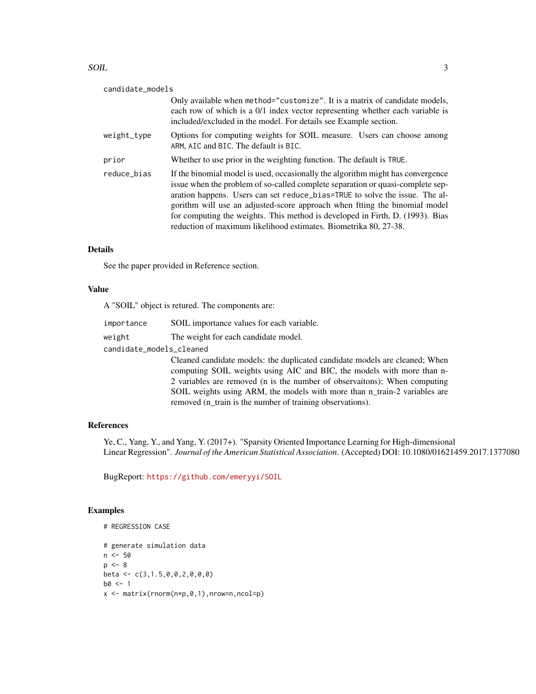#### $S$ OIL  $\overline{3}$

| candidate_models |                                                                                                                                                                                                                                                                                                                                                                                                                                                                                      |
|------------------|--------------------------------------------------------------------------------------------------------------------------------------------------------------------------------------------------------------------------------------------------------------------------------------------------------------------------------------------------------------------------------------------------------------------------------------------------------------------------------------|
|                  | Only available when method="customize". It is a matrix of candidate models,<br>each row of which is a 0/1 index vector representing whether each variable is<br>included/excluded in the model. For details see Example section.                                                                                                                                                                                                                                                     |
| weight_type      | Options for computing weights for SOIL measure. Users can choose among<br>ARM, AIC and BIC. The default is BIC.                                                                                                                                                                                                                                                                                                                                                                      |
| prior            | Whether to use prior in the weighting function. The default is TRUE.                                                                                                                                                                                                                                                                                                                                                                                                                 |
| reduce bias      | If the binomial model is used, occasionally the algorithm might has convergence<br>issue when the problem of so-called complete separation or quasi-complete sep-<br>aration happens. Users can set reduce_bias=TRUE to solve the issue. The al-<br>gorithm will use an adjusted-score approach when fitting the binomial model<br>for computing the weights. This method is developed in Firth, D. (1993). Bias<br>reduction of maximum likelihood estimates. Biometrika 80, 27-38. |

#### Details

See the paper provided in Reference section.

#### Value

A "SOIL" object is retured. The components are:

importance SOIL importance values for each variable. weight The weight for each candidate model.

candidate\_models\_cleaned

Cleaned candidate models: the duplicated candidate models are cleaned; When computing SOIL weights using AIC and BIC, the models with more than n-2 variables are removed (n is the number of observaitons); When computing SOIL weights using ARM, the models with more than n\_train-2 variables are removed (n\_train is the number of training observations).

#### References

Ye, C., Yang, Y., and Yang, Y. (2017+). "Sparsity Oriented Importance Learning for High-dimensional Linear Regression". *Journal of the American Statistical Association*. (Accepted) DOI: 10.1080/01621459.2017.1377080

BugReport: <https://github.com/emeryyi/SOIL>

#### Examples

```
# REGRESSION CASE
# generate simulation data
n < -50p \le -8beta <- c(3,1.5,0,0,2,0,0,0)
b0 < -1x \leq - matrix(rnorm(n \times p, 0, 1), nrow=n, ncol=p)
```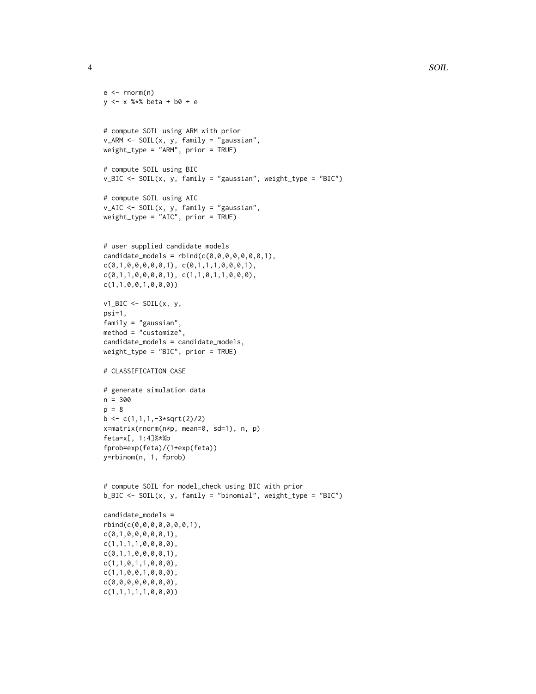```
e \leftarrow \text{norm}(n)y <- x %*% beta + b0 + e
# compute SOIL using ARM with prior
v_ARM <- SOIL(x, y, family = "gaussian",
weight_type = "ARM", prior = TRUE)
# compute SOIL using BIC
v_BIC <- SOIL(x, y, family = "gaussian", weight_type = "BIC")
# compute SOIL using AIC
v_AIC <- SOIL(x, y, family = "gaussian",
weight_type = "AIC", prior = TRUE)# user supplied candidate models
candidate_models = rbind(c(0,0,0,0,0,0,0,1),c(0,1,0,0,0,0,0,1), c(0,1,1,1,0,0,0,1),c(0,1,1,0,0,0,0,1), c(1,1,0,1,1,0,0,0),c(1,1,0,0,1,0,0,0))
v1_BIC <- SOIL(x, y,
psi=1,
family = "gaussian",
method = "customize",
candidate_models = candidate_models,
weight_type = "BIC", prior = TRUE)
# CLASSIFICATION CASE
# generate simulation data
n = 300
p = 8b \leftarrow c(1,1,1,-3*sqrt(2)/2)x=matrix(rnorm(n*p, mean=0, sd=1), n, p)
feta=x[, 1:4]%*%b
fprob=exp(feta)/(1+exp(feta))
y=rbinom(n, 1, fprob)
# compute SOIL for model_check using BIC with prior
b_BIC <- SOIL(x, y, family = "binomial", weight_type = "BIC")
candidate_models =
rbind(c(0,0,0,0,0,0,0,1),
c(0,1,0,0,0,0,0,1),
c(1,1,1,1,0,0,0,0),
c(0,1,1,0,0,0,0,1),
c(1,1,0,1,1,0,0,0),
c(1,1,0,0,1,0,0,0),
c(0,0,0,0,0,0,0,0),
c(1,1,1,1,1,0,0,0))
```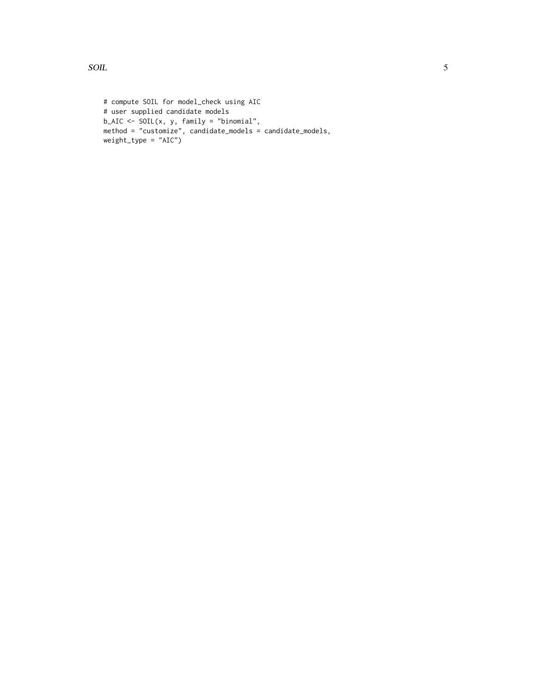```
# compute SOIL for model_check using AIC
# user supplied candidate models
b<sub>-AIC</sub> <- SOIL(x, y, family = "binomial",
method = "customize", candidate_models = candidate_models,
weight_type = "AIC")
```